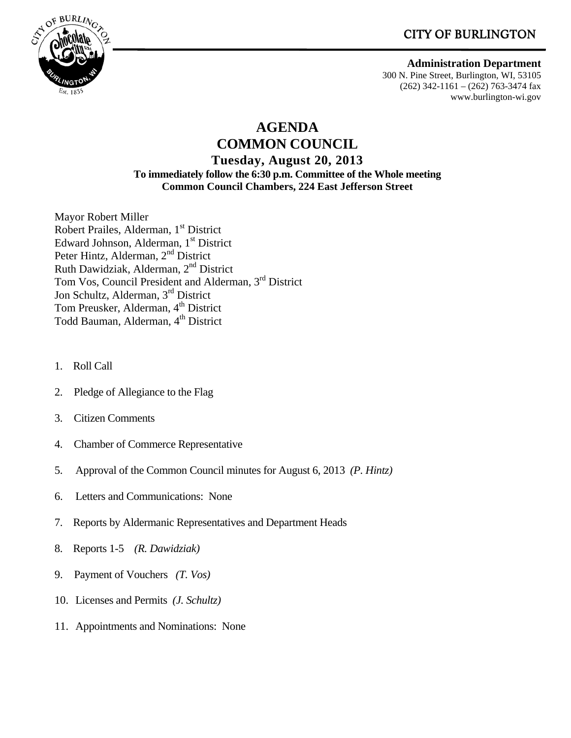**CITY OF BURLINGTON** 



 **Administration Department** 300 N. Pine Street, Burlington, WI, 53105 (262) 342-1161 – (262) 763-3474 fax

www.burlington-wi.gov

# **AGENDA**

**COMMON COUNCIL Tuesday, August 20, 2013 To immediately follow the 6:30 p.m. Committee of the Whole meeting Common Council Chambers, 224 East Jefferson Street** 

Mayor Robert Miller Robert Prailes, Alderman, 1<sup>st</sup> District Edward Johnson, Alderman, 1st District Peter Hintz, Alderman, 2<sup>nd</sup> District Ruth Dawidziak, Alderman, 2nd District Tom Vos, Council President and Alderman, 3rd District Jon Schultz, Alderman, 3rd District Tom Preusker, Alderman, 4<sup>th</sup> District Todd Bauman, Alderman, 4<sup>th</sup> District

- 1. Roll Call
- 2. Pledge of Allegiance to the Flag
- 3. Citizen Comments
- 4. Chamber of Commerce Representative
- 5. Approval of the Common Council minutes for August 6, 2013 *(P. Hintz)*
- 6. Letters and Communications: None
- 7. Reports by Aldermanic Representatives and Department Heads
- 8. Reports 1-5 *(R. Dawidziak)*
- 9. Payment of Vouchers *(T. Vos)*
- 10. Licenses and Permits *(J. Schultz)*
- 11. Appointments and Nominations: None